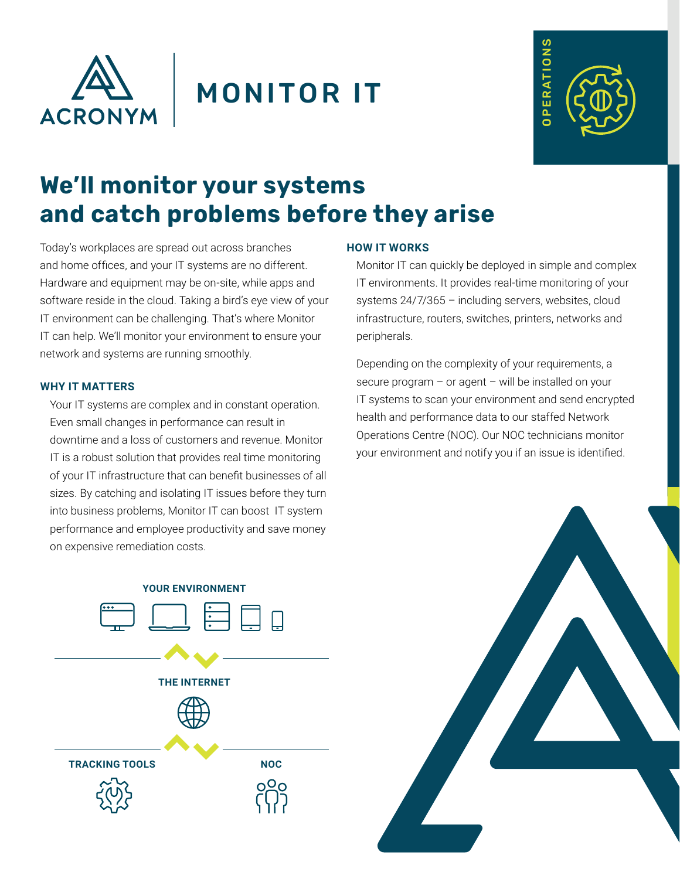

# MONITOR IT



# **We'll monitor your systems and catch problems before they arise**

Today's workplaces are spread out across branches and home offices, and your IT systems are no different. Hardware and equipment may be on-site, while apps and software reside in the cloud. Taking a bird's eye view of your IT environment can be challenging. That's where Monitor IT can help. We'll monitor your environment to ensure your network and systems are running smoothly.

## **WHY IT MATTERS**

Your IT systems are complex and in constant operation. Even small changes in performance can result in downtime and a loss of customers and revenue. Monitor IT is a robust solution that provides real time monitoring of your IT infrastructure that can benefit businesses of all sizes. By catching and isolating IT issues before they turn into business problems, Monitor IT can boost IT system performance and employee productivity and save money on expensive remediation costs.

## **HOW IT WORKS**

Monitor IT can quickly be deployed in simple and complex IT environments. It provides real-time monitoring of your systems 24/7/365 – including servers, websites, cloud infrastructure, routers, switches, printers, networks and peripherals.

Depending on the complexity of your requirements, a secure program – or agent – will be installed on your IT systems to scan your environment and send encrypted health and performance data to our staffed Network Operations Centre (NOC). Our NOC technicians monitor your environment and notify you if an issue is identified.